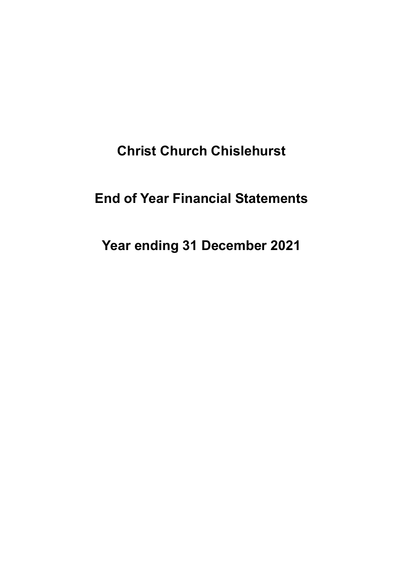# **Christ Church Chislehurst**

# **End of Year Financial Statements**

# **Year ending 31 December 2021**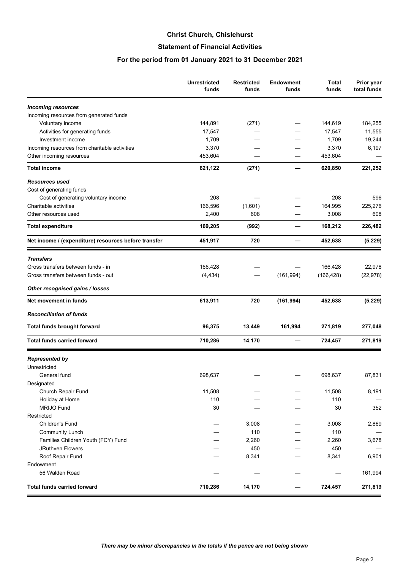#### **Christ Church, Chislehurst**

## **Statement of Financial Activities**

#### **For the period from 01 January 2021 to 31 December 2021**

|                                                      | <b>Unrestricted</b><br>funds | <b>Restricted</b><br>funds | <b>Endowment</b><br>funds | Total<br>funds | Prior year<br>total funds |
|------------------------------------------------------|------------------------------|----------------------------|---------------------------|----------------|---------------------------|
| <b>Incoming resources</b>                            |                              |                            |                           |                |                           |
| Incoming resources from generated funds              |                              |                            |                           |                |                           |
| Voluntary income                                     | 144,891                      | (271)                      |                           | 144,619        | 184,255                   |
| Activities for generating funds                      | 17,547                       |                            |                           | 17,547         | 11,555                    |
| Investment income                                    | 1,709                        |                            |                           | 1,709          | 19,244                    |
| Incoming resources from charitable activities        | 3,370                        |                            |                           | 3,370          | 6,197                     |
| Other incoming resources                             | 453,604                      |                            |                           | 453,604        |                           |
| <b>Total income</b>                                  | 621,122                      | (271)                      |                           | 620,850        | 221,252                   |
| <b>Resources used</b>                                |                              |                            |                           |                |                           |
| Cost of generating funds                             |                              |                            |                           |                |                           |
| Cost of generating voluntary income                  | 208                          |                            |                           | 208            | 596                       |
| Charitable activities                                | 166,596                      | (1,601)                    |                           | 164,995        | 225,276                   |
| Other resources used                                 | 2,400                        | 608                        |                           | 3,008          | 608                       |
| <b>Total expenditure</b>                             | 169,205                      | (992)                      |                           | 168,212        | 226,482                   |
| Net income / (expenditure) resources before transfer | 451,917                      | 720                        |                           | 452,638        | (5, 229)                  |
| <b>Transfers</b>                                     |                              |                            |                           |                |                           |
| Gross transfers between funds - in                   | 166,428                      |                            |                           | 166,428        | 22,978                    |
| Gross transfers between funds - out                  | (4, 434)                     |                            | (161, 994)                | (166, 428)     | (22, 978)                 |
| Other recognised gains / losses                      |                              |                            |                           |                |                           |
| Net movement in funds                                | 613,911                      | 720                        | (161, 994)                | 452,638        | (5, 229)                  |
| <b>Reconciliation of funds</b>                       |                              |                            |                           |                |                           |
| <b>Total funds brought forward</b>                   | 96,375                       | 13,449                     | 161,994                   | 271,819        | 277,048                   |
| <b>Total funds carried forward</b>                   | 710,286                      | 14,170                     |                           | 724,457        | 271,819                   |
| <b>Represented by</b>                                |                              |                            |                           |                |                           |
| Unrestricted                                         |                              |                            |                           |                |                           |
| General fund                                         | 698,637                      |                            |                           | 698,637        | 87,831                    |
| Designated                                           |                              |                            |                           |                |                           |
| Church Repair Fund                                   | 11,508                       |                            |                           | 11,508         | 8,191                     |
| Holiday at Home                                      | 110                          |                            |                           | 110            |                           |
| <b>MRIJO Fund</b>                                    | 30                           |                            |                           | 30             | 352                       |
| Restricted                                           |                              |                            |                           |                |                           |
| Children's Fund                                      |                              | 3,008                      |                           | 3,008          | 2,869                     |
| <b>Community Lunch</b>                               |                              | 110                        |                           | 110            |                           |
| Families Children Youth (FCY) Fund                   |                              | 2,260                      |                           | 2,260          | 3,678                     |
| JRuthven Flowers                                     |                              | 450                        |                           | 450            |                           |
| Roof Repair Fund                                     |                              | 8,341                      |                           | 8,341          | 6,901                     |
| Endowment                                            |                              |                            |                           |                |                           |
| 56 Walden Road                                       |                              |                            |                           |                | 161,994                   |
| <b>Total funds carried forward</b>                   | 710,286                      | 14,170                     |                           | 724,457        | 271,819                   |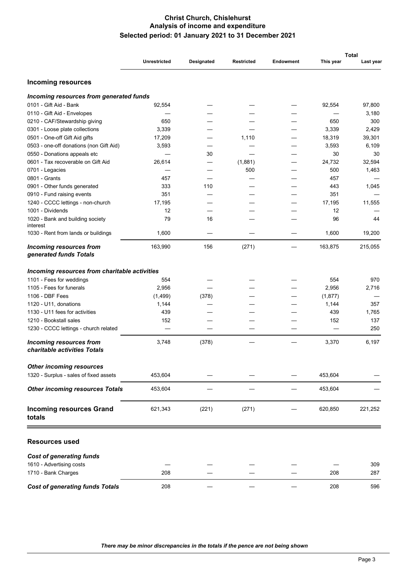#### **Christ Church, Chislehurst Analysis of income and expenditure Selected period: 01 January 2021 to 31 December 2021**

|                                                                |                     |            |                   |                  | <b>Total</b> |           |  |
|----------------------------------------------------------------|---------------------|------------|-------------------|------------------|--------------|-----------|--|
|                                                                | <b>Unrestricted</b> | Designated | <b>Restricted</b> | <b>Endowment</b> | This year    | Last year |  |
| <b>Incoming resources</b>                                      |                     |            |                   |                  |              |           |  |
| Incoming resources from generated funds                        |                     |            |                   |                  |              |           |  |
| 0101 - Gift Aid - Bank                                         | 92,554              |            |                   |                  | 92,554       | 97,800    |  |
| 0110 - Gift Aid - Envelopes                                    |                     |            |                   |                  |              | 3,180     |  |
| 0210 - CAF/Stewardship giving                                  | 650                 |            |                   |                  | 650          | 300       |  |
| 0301 - Loose plate collections                                 | 3,339               |            |                   |                  | 3,339        | 2,429     |  |
| 0501 - One-off Gift Aid gifts                                  | 17,209              |            | 1,110             |                  | 18,319       | 39,301    |  |
| 0503 - one-off donations (non Gift Aid)                        | 3,593               |            |                   |                  | 3,593        | 6,109     |  |
| 0550 - Donations appeals etc                                   |                     | 30         |                   |                  | 30           | 30        |  |
| 0601 - Tax recoverable on Gift Aid                             | 26,614              |            | (1,881)           |                  | 24,732       | 32,594    |  |
| 0701 - Legacies                                                |                     |            | 500               |                  | 500          | 1,463     |  |
| 0801 - Grants                                                  | 457                 |            |                   |                  | 457          |           |  |
| 0901 - Other funds generated                                   | 333                 | 110        |                   |                  | 443          | 1,045     |  |
| 0910 - Fund raising events                                     | 351                 |            |                   |                  | 351          |           |  |
| 1240 - CCCC lettings - non-church                              | 17,195              |            |                   |                  | 17,195       | 11,555    |  |
| 1001 - Dividends                                               | 12                  |            |                   |                  | 12           |           |  |
| 1020 - Bank and building society<br>interest                   | 79                  | 16         |                   |                  | 96           | 44        |  |
| 1030 - Rent from lands or buildings                            | 1,600               |            |                   |                  | 1,600        | 19,200    |  |
| <b>Incoming resources from</b><br>generated funds Totals       | 163,990             | 156        | (271)             |                  | 163,875      | 215,055   |  |
| Incoming resources from charitable activities                  |                     |            |                   |                  |              |           |  |
| 1101 - Fees for weddings                                       | 554                 |            |                   |                  | 554          | 970       |  |
| 1105 - Fees for funerals                                       | 2,956               |            |                   |                  | 2,956        | 2,716     |  |
| 1106 - DBF Fees                                                | (1,499)             | (378)      |                   |                  | (1, 877)     |           |  |
| 1120 - U11, donations                                          | 1,144               |            |                   |                  | 1,144        | 357       |  |
| 1130 - U11 fees for activities                                 | 439                 |            |                   |                  | 439          | 1,765     |  |
| 1210 - Bookstall sales                                         | 152                 |            |                   |                  | 152          | 137       |  |
| 1230 - CCCC lettings - church related                          |                     |            |                   |                  |              | 250       |  |
| <b>Incoming resources from</b><br>charitable activities Totals | 3,748               | (378)      |                   |                  | 3,370        | 6,197     |  |
| <b>Other incoming resources</b>                                |                     |            |                   |                  |              |           |  |
| 1320 - Surplus - sales of fixed assets                         | 453,604             |            |                   |                  | 453,604      |           |  |
| <b>Other incoming resources Totals</b>                         | 453,604             |            |                   |                  | 453,604      |           |  |
| <b>Incoming resources Grand</b><br>totals                      | 621,343             | (221)      | (271)             |                  | 620,850      | 221,252   |  |
| <b>Resources used</b>                                          |                     |            |                   |                  |              |           |  |
| <b>Cost of generating funds</b>                                |                     |            |                   |                  |              |           |  |
| 1610 - Advertising costs                                       |                     |            |                   |                  |              | 309       |  |
| 1710 - Bank Charges                                            | 208                 |            |                   |                  | 208          | 287       |  |
| <b>Cost of generating funds Totals</b>                         | 208                 |            |                   |                  | 208          | 596       |  |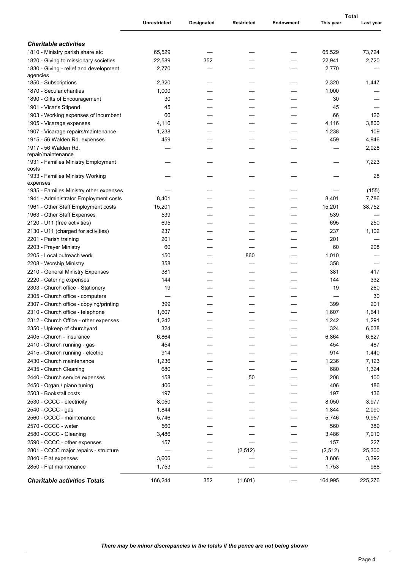|                                                     | <b>Unrestricted</b> | Designated | <b>Restricted</b> | <b>Endowment</b> | This year | Total<br>Last year |
|-----------------------------------------------------|---------------------|------------|-------------------|------------------|-----------|--------------------|
|                                                     |                     |            |                   |                  |           |                    |
| <b>Charitable activities</b>                        |                     |            |                   |                  |           |                    |
| 1810 - Ministry parish share etc                    | 65,529              |            |                   |                  | 65,529    | 73,724             |
| 1820 - Giving to missionary societies               | 22,589              | 352        |                   |                  | 22,941    | 2,720              |
| 1830 - Giving - relief and development<br>agencies  | 2,770               |            |                   |                  | 2,770     |                    |
| 1850 - Subscriptions                                | 2,320               |            |                   |                  | 2,320     | 1,447              |
| 1870 - Secular charities                            | 1,000               |            |                   |                  | 1,000     |                    |
| 1890 - Gifts of Encouragement                       | 30                  |            |                   |                  | 30        |                    |
| 1901 - Vicar's Stipend                              | 45                  |            |                   |                  | 45        |                    |
| 1903 - Working expenses of incumbent                | 66                  |            |                   |                  | 66        | 126                |
| 1905 - Vicarage expenses                            | 4,116               |            |                   |                  | 4,116     | 3,800              |
| 1907 - Vicarage repairs/maintenance                 | 1,238               |            |                   |                  | 1,238     | 109                |
| 1915 - 56 Walden Rd. expenses                       | 459                 |            |                   |                  | 459       | 4,946              |
| 1917 - 56 Walden Rd.                                |                     |            |                   |                  |           | 2,028              |
| repair/maintenance                                  |                     |            |                   |                  |           |                    |
| 1931 - Families Ministry Employment<br>costs        |                     |            |                   |                  |           | 7,223              |
| 1933 - Families Ministry Working                    |                     |            |                   |                  |           | 28                 |
| expenses<br>1935 - Families Ministry other expenses |                     |            |                   |                  |           | (155)              |
| 1941 - Administrator Employment costs               | 8,401               |            |                   |                  | 8,401     | 7,786              |
| 1961 - Other Staff Employment costs                 | 15,201              |            |                   |                  | 15,201    | 38,752             |
| 1963 - Other Staff Expenses                         | 539                 |            |                   |                  | 539       |                    |
| 2120 - U11 (free activities)                        | 695                 |            |                   |                  | 695       | 250                |
| 2130 - U11 (charged for activities)                 | 237                 |            |                   |                  | 237       | 1,102              |
| 2201 - Parish training                              | 201                 |            |                   |                  | 201       |                    |
| 2203 - Prayer Ministry                              | 60                  |            |                   |                  | 60        | 208                |
| 2205 - Local outreach work                          | 150                 |            | 860               |                  | 1,010     |                    |
| 2208 - Worship Ministry                             | 358                 |            |                   |                  | 358       |                    |
| 2210 - General Ministry Expenses                    | 381                 |            |                   |                  | 381       | 417                |
| 2220 - Catering expenses                            | 144                 |            |                   |                  | 144       | 332                |
| 2303 - Church office - Stationery                   | 19                  |            |                   |                  | 19        | 260                |
| 2305 - Church office - computers                    |                     |            |                   |                  |           | 30                 |
| 2307 - Church office - copying/printing             | 399                 |            |                   |                  | 399       | 201                |
| 2310 - Church office - telephone                    | 1,607               |            |                   |                  | 1,607     | 1,641              |
| 2312 - Church Office - other expenses               | 1,242               |            |                   |                  | 1,242     | 1,291              |
| 2350 - Upkeep of churchyard                         | 324                 |            |                   |                  | 324       | 6,038              |
| 2405 - Church - insurance                           | 6,864               |            |                   |                  | 6,864     | 6,827              |
| 2410 - Church running - gas                         | 454                 |            |                   |                  | 454       | 487                |
| 2415 - Church running - electric                    | 914                 |            |                   |                  | 914       | 1,440              |
| 2430 - Church maintenance                           | 1,236               |            |                   |                  | 1,236     | 7,123              |
| 2435 - Church Cleaning                              | 680                 |            |                   |                  | 680       | 1,324              |
| 2440 - Church service expenses                      | 158                 |            | 50                |                  | 208       | 100                |
| 2450 - Organ / piano tuning                         | 406                 |            |                   |                  | 406       | 186                |
| 2503 - Bookstall costs                              | 197                 |            |                   |                  | 197       | 136                |
| 2530 - CCCC - electricity                           | 8,050               |            |                   |                  | 8,050     | 3,977              |
| 2540 - CCCC - gas                                   | 1,844               |            |                   |                  | 1,844     | 2,090              |
| 2560 - CCCC - maintenance                           | 5,746               |            |                   |                  | 5,746     | 9,957              |
| 2570 - CCCC - water                                 | 560                 |            |                   |                  | 560       | 389                |
| 2580 - CCCC - Cleaning                              | 3,486               |            |                   |                  | 3,486     | 7,010              |
| 2590 - CCCC - other expenses                        | 157                 |            |                   |                  | 157       | 227                |
| 2801 - CCCC major repairs - structure               |                     |            | (2, 512)          |                  | (2, 512)  | 25,300             |
| 2840 - Flat expenses                                | 3,606               |            |                   |                  | 3,606     | 3,392              |
| 2850 - Flat maintenance                             | 1,753               |            |                   |                  | 1,753     | 988                |
| <b>Charitable activities Totals</b>                 | 166,244             | 352        | (1,601)           |                  | 164,995   | 225,276            |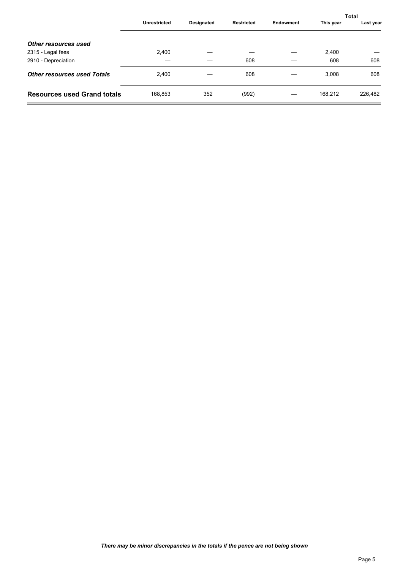|                                    |                     |            |                   |           |           | <b>Total</b> |
|------------------------------------|---------------------|------------|-------------------|-----------|-----------|--------------|
|                                    | <b>Unrestricted</b> | Designated | <b>Restricted</b> | Endowment | This year | Last year    |
| <b>Other resources used</b>        |                     |            |                   |           |           |              |
| 2315 - Legal fees                  | 2,400               |            |                   |           | 2,400     |              |
| 2910 - Depreciation                |                     |            | 608               |           | 608       | 608          |
| <b>Other resources used Totals</b> | 2,400               |            | 608               |           | 3,008     | 608          |
| <b>Resources used Grand totals</b> | 168,853             | 352        | (992)             |           | 168,212   | 226,482      |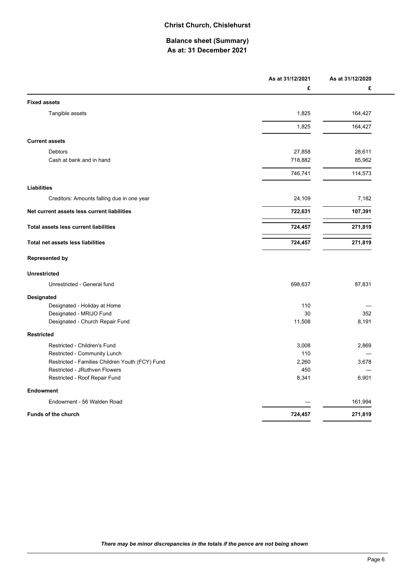#### **Christ Church, Chislehurst**

# **Balance sheet (Summary) As at: 31 December 2021**

|                                                 | As at 31/12/2021 | As at 31/12/2020 |
|-------------------------------------------------|------------------|------------------|
|                                                 | £                | £                |
| <b>Fixed assets</b>                             |                  |                  |
| Tangible assets                                 | 1,825            | 164,427          |
|                                                 | 1,825            | 164,427          |
| <b>Current assets</b>                           |                  |                  |
| Debtors                                         | 27,858           | 28,611           |
| Cash at bank and in hand                        | 718,882          | 85,962           |
|                                                 | 746,741          | 114,573          |
| <b>Liabilities</b>                              |                  |                  |
| Creditors: Amounts falling due in one year      | 24,109           | 7,182            |
| Net current assets less current liabilities     | 722,631          | 107,391          |
| <b>Total assets less current liabilities</b>    | 724,457          | 271,819          |
| <b>Total net assets less liabilities</b>        | 724,457          | 271,819          |
| <b>Represented by</b>                           |                  |                  |
| <b>Unrestricted</b>                             |                  |                  |
| Unrestricted - General fund                     | 698,637          | 87,831           |
| Designated                                      |                  |                  |
| Designated - Holiday at Home                    | 110              |                  |
| Designated - MRIJO Fund                         | 30               | 352              |
| Designated - Church Repair Fund                 | 11,508           | 8,191            |
| <b>Restricted</b>                               |                  |                  |
| Restricted - Children's Fund                    | 3,008            | 2,869            |
| Restricted - Community Lunch                    | 110              |                  |
| Restricted - Families Children Youth (FCY) Fund | 2,260            | 3,678            |
| Restricted - JRuthven Flowers                   | 450              |                  |
| Restricted - Roof Repair Fund                   | 8,341            | 6,901            |
| <b>Endowment</b>                                |                  |                  |
| Endowment - 56 Walden Road                      |                  | 161,994          |
| <b>Funds of the church</b>                      | 724,457          | 271,819          |
|                                                 |                  |                  |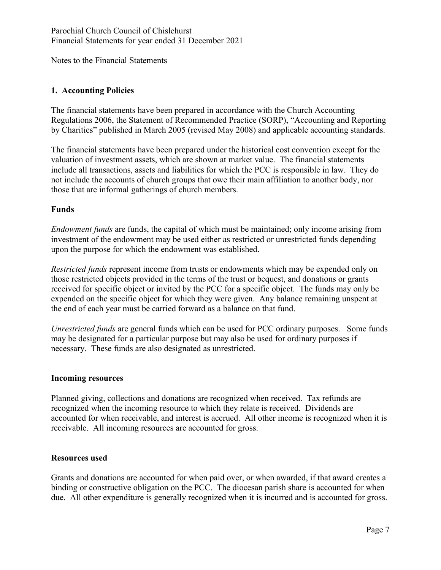Notes to the Financial Statements

# **1. Accounting Policies**

The financial statements have been prepared in accordance with the Church Accounting Regulations 2006, the Statement of Recommended Practice (SORP), "Accounting and Reporting by Charities" published in March 2005 (revised May 2008) and applicable accounting standards.

The financial statements have been prepared under the historical cost convention except for the valuation of investment assets, which are shown at market value. The financial statements include all transactions, assets and liabilities for which the PCC is responsible in law. They do not include the accounts of church groups that owe their main affiliation to another body, nor those that are informal gatherings of church members.

## **Funds**

*Endowment funds* are funds, the capital of which must be maintained; only income arising from investment of the endowment may be used either as restricted or unrestricted funds depending upon the purpose for which the endowment was established.

*Restricted funds* represent income from trusts or endowments which may be expended only on those restricted objects provided in the terms of the trust or bequest, and donations or grants received for specific object or invited by the PCC for a specific object. The funds may only be expended on the specific object for which they were given. Any balance remaining unspent at the end of each year must be carried forward as a balance on that fund.

*Unrestricted funds* are general funds which can be used for PCC ordinary purposes. Some funds may be designated for a particular purpose but may also be used for ordinary purposes if necessary. These funds are also designated as unrestricted.

## **Incoming resources**

Planned giving, collections and donations are recognized when received. Tax refunds are recognized when the incoming resource to which they relate is received. Dividends are accounted for when receivable, and interest is accrued. All other income is recognized when it is receivable. All incoming resources are accounted for gross.

## **Resources used**

Grants and donations are accounted for when paid over, or when awarded, if that award creates a binding or constructive obligation on the PCC. The diocesan parish share is accounted for when due. All other expenditure is generally recognized when it is incurred and is accounted for gross.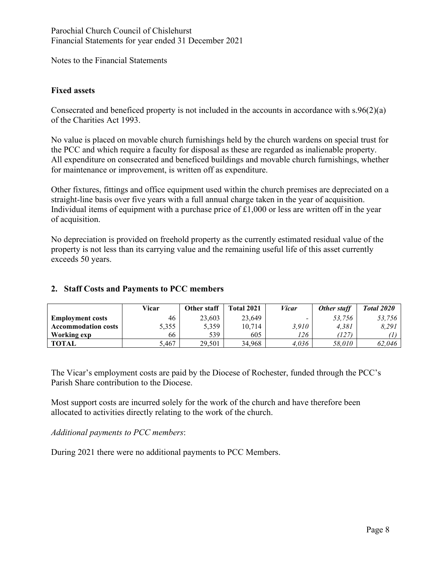Notes to the Financial Statements

## **Fixed assets**

Consecrated and beneficed property is not included in the accounts in accordance with s.96(2)(a) of the Charities Act 1993.

No value is placed on movable church furnishings held by the church wardens on special trust for the PCC and which require a faculty for disposal as these are regarded as inalienable property. All expenditure on consecrated and beneficed buildings and movable church furnishings, whether for maintenance or improvement, is written off as expenditure.

Other fixtures, fittings and office equipment used within the church premises are depreciated on a straight-line basis over five years with a full annual charge taken in the year of acquisition. Individual items of equipment with a purchase price of  $\pounds1,000$  or less are written off in the year of acquisition.

No depreciation is provided on freehold property as the currently estimated residual value of the property is not less than its carrying value and the remaining useful life of this asset currently exceeds 50 years.

# **2. Staff Costs and Payments to PCC members**

|                            | Vicar | Other staff | <b>Total 2021</b> | <i>Vicar</i> | Other staff | Total 2020 |
|----------------------------|-------|-------------|-------------------|--------------|-------------|------------|
| <b>Employment costs</b>    | 46    | 23,603      | 23,649            |              | 53.756      | 53.756     |
| <b>Accommodation costs</b> | 5,355 | 5,359       | 10.714            | 3.910        | 4,381       | 8.291      |
| Working exp                | 66    | 539         | 605               | 126          | (127)       |            |
| TOTAL                      | 5,467 | 29,501      | 34,968            | 4,036        | 58,010      | 62,046     |

The Vicar's employment costs are paid by the Diocese of Rochester, funded through the PCC's Parish Share contribution to the Diocese.

Most support costs are incurred solely for the work of the church and have therefore been allocated to activities directly relating to the work of the church.

*Additional payments to PCC members*:

During 2021 there were no additional payments to PCC Members.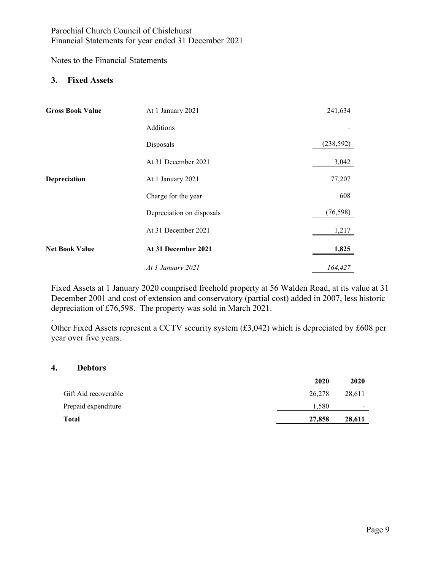Notes to the Financial Statements

### **3. Fixed Assets**

| <b>Gross Book Value</b> | At 1 January 2021         | 241,634    |
|-------------------------|---------------------------|------------|
|                         | Additions                 |            |
|                         | Disposals                 | (238, 592) |
|                         | At 31 December 2021       | 3,042      |
| Depreciation            | At 1 January 2021         | 77,207     |
|                         | Charge for the year       | 608        |
|                         | Depreciation on disposals | (76, 598)  |
|                         | At 31 December 2021       | 1,217      |
| <b>Net Book Value</b>   | At 31 December 2021       | 1,825      |
|                         | At 1 January 2021         | 164,427    |

Fixed Assets at 1 January 2020 comprised freehold property at 56 Walden Road, at its value at 31 December 2001 and cost of extension and conservatory (partial cost) added in 2007, less historic depreciation of £76,598. The property was sold in March 2021.

Other Fixed Assets represent a CCTV security system (£3,042) which is depreciated by £608 per year over five years.

#### **4. Debtors**

.

|                      | 2020   | 2020                     |
|----------------------|--------|--------------------------|
| Gift Aid recoverable | 26,278 | 28.611                   |
| Prepaid expenditure  | 1.580  | $\overline{\phantom{a}}$ |
| Total                | 27,858 | 28,611                   |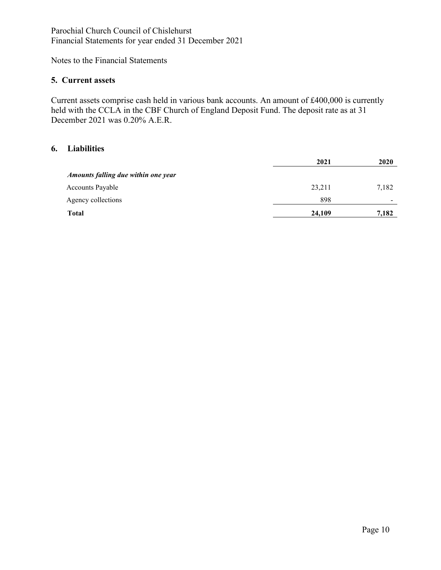Notes to the Financial Statements

#### **5. Current assets**

Current assets comprise cash held in various bank accounts. An amount of £400,000 is currently held with the CCLA in the CBF Church of England Deposit Fund. The deposit rate as at 31 December 2021 was 0.20% A.E.R.

# **6. Liabilities**

|                                     | 2021   | 2020                     |
|-------------------------------------|--------|--------------------------|
| Amounts falling due within one year |        |                          |
| <b>Accounts Payable</b>             | 23,211 | 7,182                    |
| Agency collections                  | 898    | $\overline{\phantom{0}}$ |
| <b>Total</b>                        | 24,109 | 7,182                    |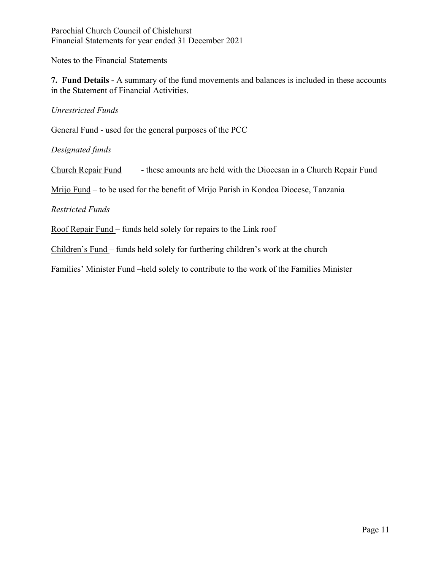Notes to the Financial Statements

**7. Fund Details -** A summary of the fund movements and balances is included in these accounts in the Statement of Financial Activities.

*Unrestricted Funds* 

General Fund - used for the general purposes of the PCC

*Designated funds* 

Church Repair Fund - these amounts are held with the Diocesan in a Church Repair Fund

Mrijo Fund – to be used for the benefit of Mrijo Parish in Kondoa Diocese, Tanzania

*Restricted Funds*

Roof Repair Fund – funds held solely for repairs to the Link roof

Children's Fund – funds held solely for furthering children's work at the church

Families' Minister Fund –held solely to contribute to the work of the Families Minister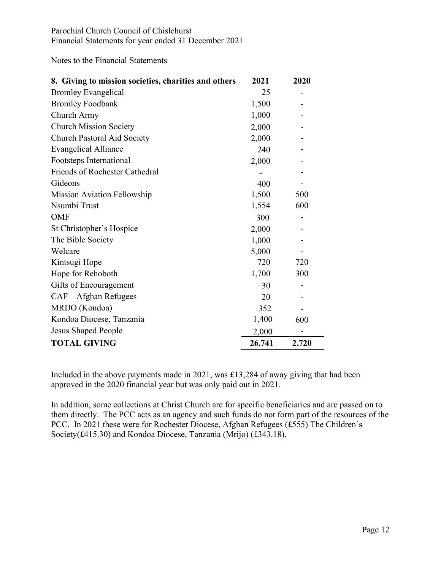Notes to the Financial Statements

| 8. Giving to mission societies, charities and others | 2021   | 2020  |
|------------------------------------------------------|--------|-------|
| <b>Bromley Evangelical</b>                           | 25     |       |
| <b>Bromley Foodbank</b>                              | 1,500  |       |
| Church Army                                          | 1,000  |       |
| <b>Church Mission Society</b>                        | 2,000  |       |
| <b>Church Pastoral Aid Society</b>                   | 2,000  |       |
| <b>Evangelical Alliance</b>                          | 240    |       |
| Footsteps International                              | 2,000  |       |
| <b>Friends of Rochester Cathedral</b>                |        |       |
| Gideons                                              | 400    |       |
| <b>Mission Aviation Fellowship</b>                   | 1,500  | 500   |
| Nsumbi Trust                                         | 1,554  | 600   |
| OMF                                                  | 300    |       |
| St Christopher's Hospice                             | 2,000  |       |
| The Bible Society                                    | 1,000  |       |
| Welcare                                              | 5,000  |       |
| Kintsugi Hope                                        | 720    | 720   |
| Hope for Rehoboth                                    | 1,700  | 300   |
| Gifts of Encouragement                               | 30     |       |
| $CAF - Afghan$ Refugees                              | 20     |       |
| MRIJO (Kondoa)                                       | 352    |       |
| Kondoa Diocese, Tanzania                             | 1,400  | 600   |
| <b>Jesus Shaped People</b>                           | 2,000  |       |
| <b>TOTAL GIVING</b>                                  | 26,741 | 2,720 |

Included in the above payments made in 2021, was £13,284 of away giving that had been approved in the 2020 financial year but was only paid out in 2021.

In addition, some collections at Christ Church are for specific beneficiaries and are passed on to them directly. The PCC acts as an agency and such funds do not form part of the resources of the PCC. In 2021 these were for Rochester Diocese, Afghan Refugees (£555) The Children's Society(£415.30) and Kondoa Diocese, Tanzania (Mrijo) (£343.18).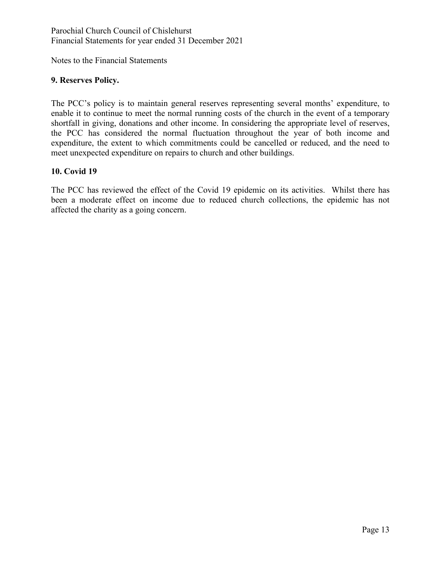Notes to the Financial Statements

### **9. Reserves Policy.**

The PCC's policy is to maintain general reserves representing several months' expenditure, to enable it to continue to meet the normal running costs of the church in the event of a temporary shortfall in giving, donations and other income. In considering the appropriate level of reserves, the PCC has considered the normal fluctuation throughout the year of both income and expenditure, the extent to which commitments could be cancelled or reduced, and the need to meet unexpected expenditure on repairs to church and other buildings.

#### **10. Covid 19**

The PCC has reviewed the effect of the Covid 19 epidemic on its activities. Whilst there has been a moderate effect on income due to reduced church collections, the epidemic has not affected the charity as a going concern.